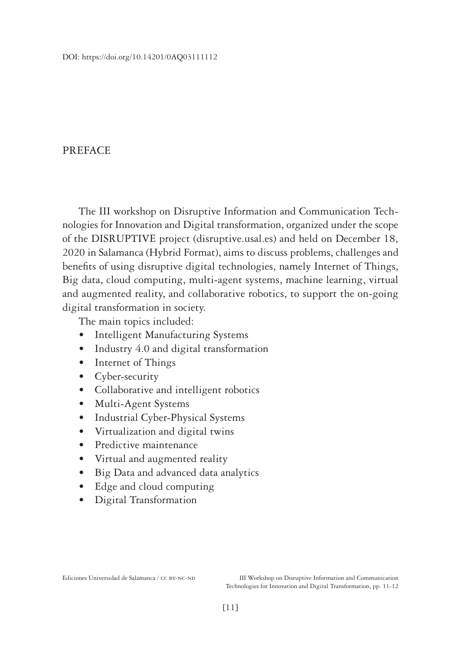## **PREFACE**

The III workshop on Disruptive Information and Communication Technologies for Innovation and Digital transformation, organized under the scope of the DISRUPTIVE project (disruptive.usal.es) and held on December 18, 2020 in Salamanca (Hybrid Format), aims to discuss problems, challenges and benefits of using disruptive digital technologies, namely Internet of Things, Big data, cloud computing, multi-agent systems, machine learning, virtual and augmented reality, and collaborative robotics, to support the on-going digital transformation in society.

The main topics included:

- Intelligent Manufacturing Systems
- Industry 4.0 and digital transformation
- Internet of Things
- Cyber-security
- Collaborative and intelligent robotics
- Multi-Agent Systems
- Industrial Cyber-Physical Systems
- Virtualization and digital twins
- Predictive maintenance
- Virtual and augmented reality
- Big Data and advanced data analytics
- Edge and cloud computing
- Digital Transformation